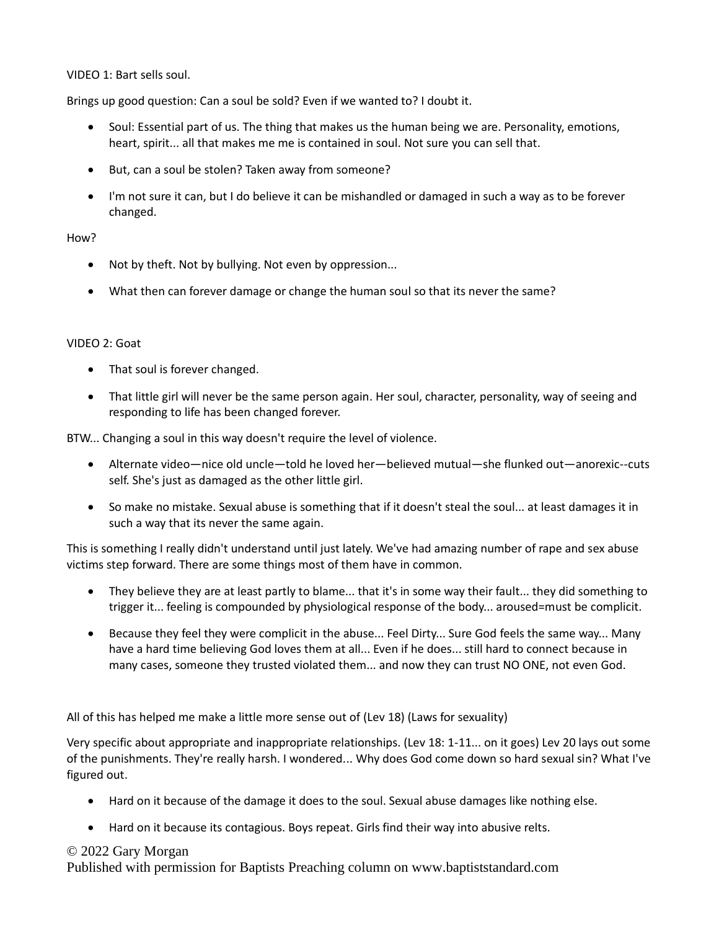# VIDEO 1: Bart sells soul.

Brings up good question: Can a soul be sold? Even if we wanted to? I doubt it.

- Soul: Essential part of us. The thing that makes us the human being we are. Personality, emotions, heart, spirit... all that makes me me is contained in soul. Not sure you can sell that.
- But, can a soul be stolen? Taken away from someone?
- I'm not sure it can, but I do believe it can be mishandled or damaged in such a way as to be forever changed.

## How?

- Not by theft. Not by bullying. Not even by oppression...
- What then can forever damage or change the human soul so that its never the same?

## VIDEO 2: Goat

- That soul is forever changed.
- That little girl will never be the same person again. Her soul, character, personality, way of seeing and responding to life has been changed forever.

BTW... Changing a soul in this way doesn't require the level of violence.

- Alternate video—nice old uncle—told he loved her—believed mutual—she flunked out—anorexic--cuts self. She's just as damaged as the other little girl.
- So make no mistake. Sexual abuse is something that if it doesn't steal the soul... at least damages it in such a way that its never the same again.

This is something I really didn't understand until just lately. We've had amazing number of rape and sex abuse victims step forward. There are some things most of them have in common.

- They believe they are at least partly to blame... that it's in some way their fault... they did something to trigger it... feeling is compounded by physiological response of the body... aroused=must be complicit.
- Because they feel they were complicit in the abuse... Feel Dirty... Sure God feels the same way... Many have a hard time believing God loves them at all... Even if he does... still hard to connect because in many cases, someone they trusted violated them... and now they can trust NO ONE, not even God.

All of this has helped me make a little more sense out of (Lev 18) (Laws for sexuality)

Very specific about appropriate and inappropriate relationships. (Lev 18: 1-11... on it goes) Lev 20 lays out some of the punishments. They're really harsh. I wondered... Why does God come down so hard sexual sin? What I've figured out.

- Hard on it because of the damage it does to the soul. Sexual abuse damages like nothing else.
- Hard on it because its contagious. Boys repeat. Girls find their way into abusive relts.

## © 2022 Gary Morgan

Published with permission for Baptists Preaching column on www.baptiststandard.com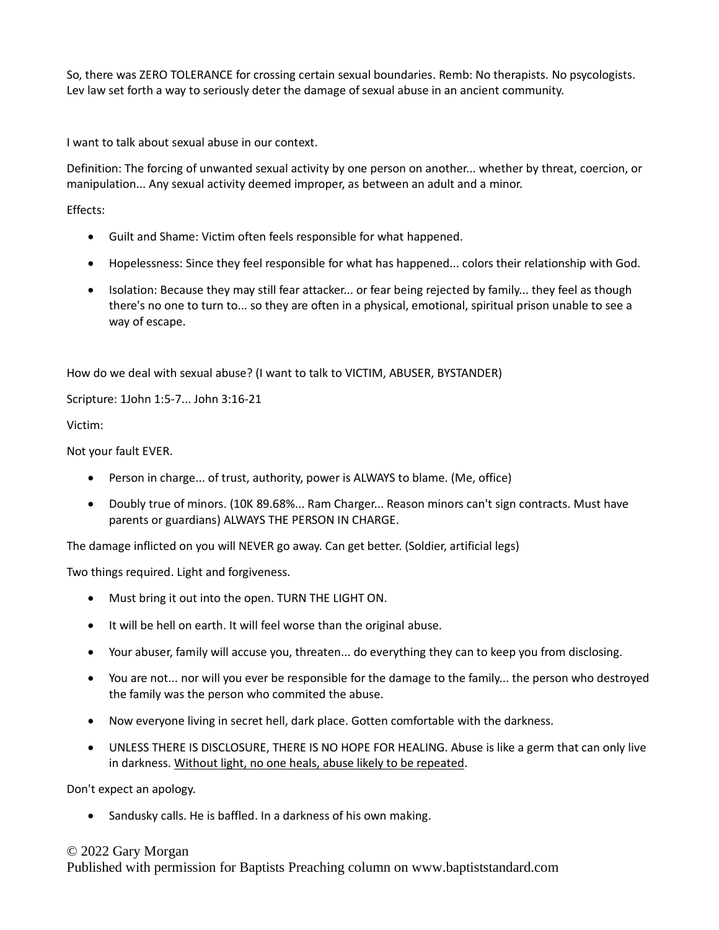So, there was ZERO TOLERANCE for crossing certain sexual boundaries. Remb: No therapists. No psycologists. Lev law set forth a way to seriously deter the damage of sexual abuse in an ancient community.

I want to talk about sexual abuse in our context.

Definition: The forcing of unwanted sexual activity by one person on another... whether by threat, coercion, or manipulation... Any sexual activity deemed improper, as between an adult and a minor.

Effects:

- Guilt and Shame: Victim often feels responsible for what happened.
- Hopelessness: Since they feel responsible for what has happened... colors their relationship with God.
- Isolation: Because they may still fear attacker... or fear being rejected by family... they feel as though there's no one to turn to... so they are often in a physical, emotional, spiritual prison unable to see a way of escape.

How do we deal with sexual abuse? (I want to talk to VICTIM, ABUSER, BYSTANDER)

Scripture: 1John 1:5-7... John 3:16-21

Victim:

Not your fault EVER.

- Person in charge... of trust, authority, power is ALWAYS to blame. (Me, office)
- Doubly true of minors. (10K 89.68%... Ram Charger... Reason minors can't sign contracts. Must have parents or guardians) ALWAYS THE PERSON IN CHARGE.

The damage inflicted on you will NEVER go away. Can get better. (Soldier, artificial legs)

Two things required. Light and forgiveness.

- Must bring it out into the open. TURN THE LIGHT ON.
- It will be hell on earth. It will feel worse than the original abuse.
- Your abuser, family will accuse you, threaten... do everything they can to keep you from disclosing.
- You are not... nor will you ever be responsible for the damage to the family... the person who destroyed the family was the person who commited the abuse.
- Now everyone living in secret hell, dark place. Gotten comfortable with the darkness.
- UNLESS THERE IS DISCLOSURE, THERE IS NO HOPE FOR HEALING. Abuse is like a germ that can only live in darkness. Without light, no one heals, abuse likely to be repeated.

Don't expect an apology.

• Sandusky calls. He is baffled. In a darkness of his own making.

## © 2022 Gary Morgan

Published with permission for Baptists Preaching column on www.baptiststandard.com